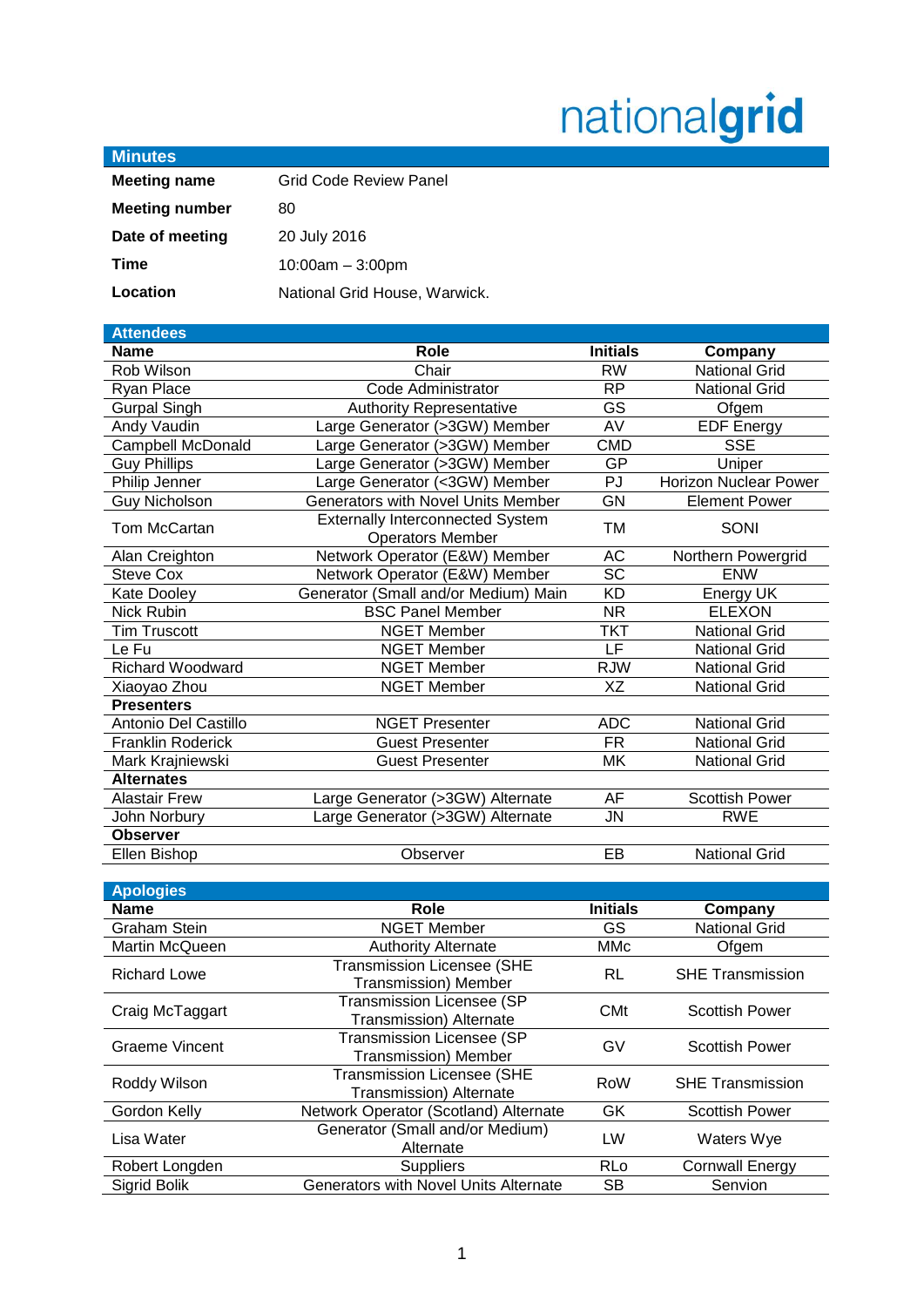# nationalgrid

| <b>Minutes</b>        |                               |
|-----------------------|-------------------------------|
| <b>Meeting name</b>   | <b>Grid Code Review Panel</b> |
| <b>Meeting number</b> | 80                            |
| Date of meeting       | 20 July 2016                  |
| Time                  | $10:00am - 3:00pm$            |
| Location              | National Grid House, Warwick. |

| <b>Attendees</b>         |                                                                    |                 |                              |
|--------------------------|--------------------------------------------------------------------|-----------------|------------------------------|
| Name                     | Role                                                               | <b>Initials</b> | Company                      |
| Rob Wilson               | Chair                                                              | <b>RW</b>       | <b>National Grid</b>         |
| Ryan Place               | Code Administrator                                                 | <b>RP</b>       | <b>National Grid</b>         |
| <b>Gurpal Singh</b>      | <b>Authority Representative</b>                                    | GS              | Ofgem                        |
| Andy Vaudin              | Large Generator (>3GW) Member                                      | AV              | <b>EDF Energy</b>            |
| Campbell McDonald        | Large Generator (>3GW) Member                                      | <b>CMD</b>      | <b>SSE</b>                   |
| <b>Guy Phillips</b>      | Large Generator (>3GW) Member                                      | GP              | Uniper                       |
| Philip Jenner            | Large Generator (<3GW) Member                                      | PJ              | <b>Horizon Nuclear Power</b> |
| <b>Guy Nicholson</b>     | Generators with Novel Units Member                                 | GN              | <b>Element Power</b>         |
| Tom McCartan             | <b>Externally Interconnected System</b><br><b>Operators Member</b> | <b>TM</b>       | SONI                         |
| Alan Creighton           | Network Operator (E&W) Member                                      | AC              | Northern Powergrid           |
| Steve Cox                | Network Operator (E&W) Member                                      | <b>SC</b>       | <b>ENW</b>                   |
| Kate Dooley              | Generator (Small and/or Medium) Main                               | <b>KD</b>       | Energy UK                    |
| <b>Nick Rubin</b>        | <b>BSC Panel Member</b>                                            | <b>NR</b>       | <b>ELEXON</b>                |
| <b>Tim Truscott</b>      | <b>NGET Member</b>                                                 | <b>TKT</b>      | <b>National Grid</b>         |
| Le Fu                    | <b>NGET Member</b>                                                 | LF              | <b>National Grid</b>         |
| Richard Woodward         | <b>NGET Member</b>                                                 | <b>RJW</b>      | <b>National Grid</b>         |
| Xiaoyao Zhou             | <b>NGET Member</b>                                                 | XZ              | <b>National Grid</b>         |
| <b>Presenters</b>        |                                                                    |                 |                              |
| Antonio Del Castillo     | <b>NGET Presenter</b>                                              | <b>ADC</b>      | <b>National Grid</b>         |
| <b>Franklin Roderick</b> | <b>Guest Presenter</b>                                             | <b>FR</b>       | <b>National Grid</b>         |
| Mark Krajniewski         | <b>Guest Presenter</b>                                             | МK              | <b>National Grid</b>         |
| <b>Alternates</b>        |                                                                    |                 |                              |
| <b>Alastair Frew</b>     | Large Generator (>3GW) Alternate                                   | AF              | <b>Scottish Power</b>        |
| John Norbury             | Large Generator (>3GW) Alternate                                   | JN              | <b>RWE</b>                   |
| <b>Observer</b>          |                                                                    |                 |                              |
| Ellen Bishop             | Observer                                                           | EB              | <b>National Grid</b>         |
|                          |                                                                    |                 |                              |

| <b>Apologies</b>      |                                                                  |                 |                         |
|-----------------------|------------------------------------------------------------------|-----------------|-------------------------|
| <b>Name</b>           | Role                                                             | <b>Initials</b> | Company                 |
| <b>Graham Stein</b>   | <b>NGET Member</b>                                               | GS.             | <b>National Grid</b>    |
| Martin McQueen        | <b>Authority Alternate</b>                                       | MMc             | Ofgem                   |
| <b>Richard Lowe</b>   | <b>Transmission Licensee (SHE</b><br><b>Transmission) Member</b> | RL              | <b>SHE Transmission</b> |
| Craig McTaggart       | <b>Transmission Licensee (SP</b><br>Transmission) Alternate      | <b>CMt</b>      | <b>Scottish Power</b>   |
| <b>Graeme Vincent</b> | <b>Transmission Licensee (SP</b><br><b>Transmission) Member</b>  | GV              | <b>Scottish Power</b>   |
| Roddy Wilson          | <b>Transmission Licensee (SHE</b><br>Transmission) Alternate     | <b>RoW</b>      | <b>SHE Transmission</b> |
| Gordon Kelly          | Network Operator (Scotland) Alternate                            | <b>GK</b>       | <b>Scottish Power</b>   |
| Lisa Water            | Generator (Small and/or Medium)<br>Alternate                     | LW              | Waters Wye              |
| Robert Longden        | <b>Suppliers</b>                                                 | <b>RLo</b>      | <b>Cornwall Energy</b>  |
| Sigrid Bolik          | <b>Generators with Novel Units Alternate</b>                     | <b>SB</b>       | Senvion                 |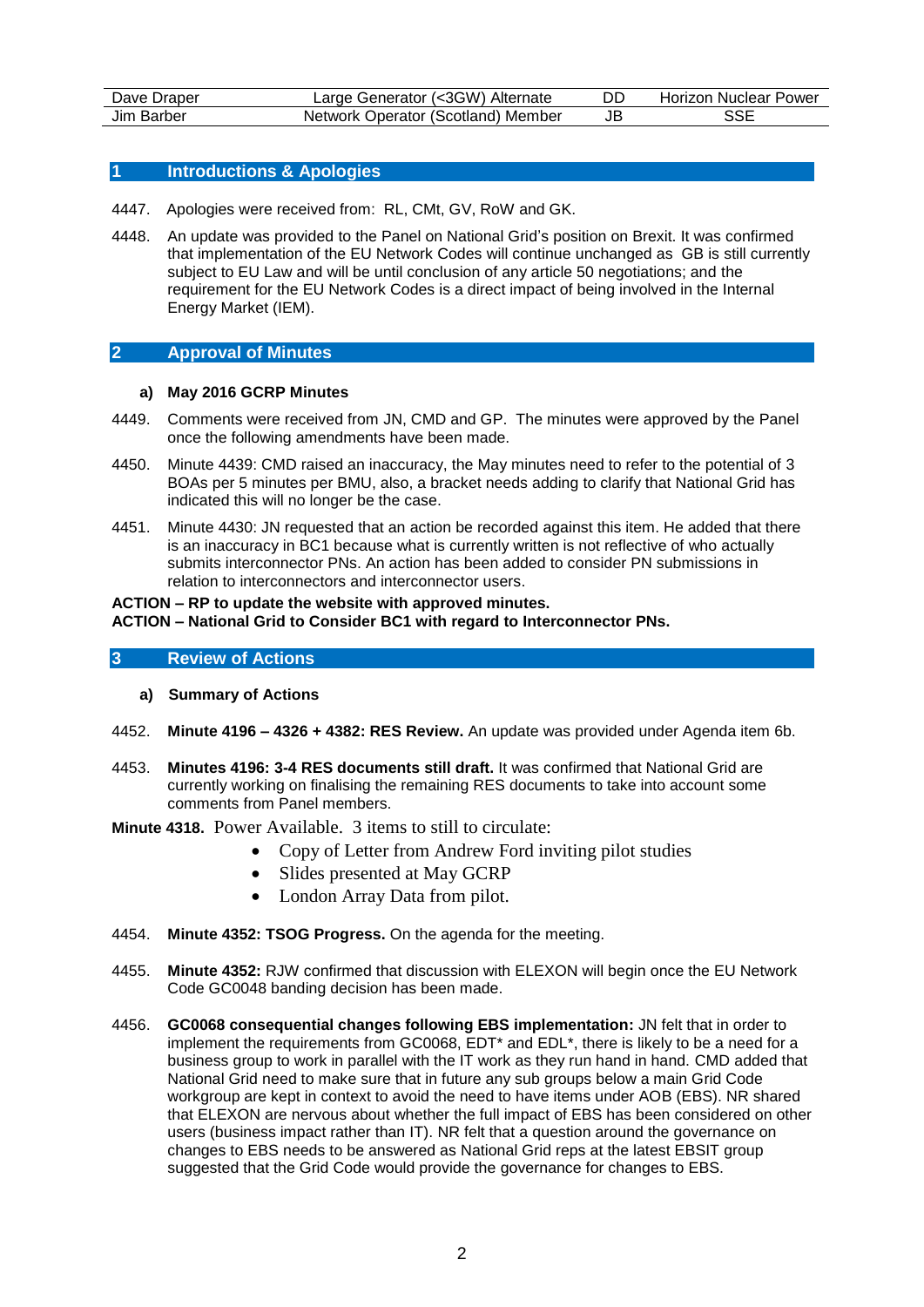| Dave Draper     | Generator (<3GW)<br>Alternate<br>_arge | DD | Horizon Nuclear Power |
|-----------------|----------------------------------------|----|-----------------------|
| Jim<br>. Barber | Operator (Scotland) Member<br>Network  | JE | SSE                   |

## **1 Introductions & Apologies**

- 4447. Apologies were received from: RL, CMt, GV, RoW and GK.
- 4448. An update was provided to the Panel on National Grid's position on Brexit. It was confirmed that implementation of the EU Network Codes will continue unchanged as GB is still currently subject to EU Law and will be until conclusion of any article 50 negotiations; and the requirement for the EU Network Codes is a direct impact of being involved in the Internal Energy Market (IEM).

# **2 Approval of Minutes**

#### **a) May 2016 GCRP Minutes**

- 4449. Comments were received from JN, CMD and GP. The minutes were approved by the Panel once the following amendments have been made.
- 4450. Minute 4439: CMD raised an inaccuracy, the May minutes need to refer to the potential of 3 BOAs per 5 minutes per BMU, also, a bracket needs adding to clarify that National Grid has indicated this will no longer be the case.
- 4451. Minute 4430: JN requested that an action be recorded against this item. He added that there is an inaccuracy in BC1 because what is currently written is not reflective of who actually submits interconnector PNs. An action has been added to consider PN submissions in relation to interconnectors and interconnector users.

#### **ACTION – RP to update the website with approved minutes.**

# **ACTION – National Grid to Consider BC1 with regard to Interconnector PNs.**

## **3 Review of Actions**

- **a) Summary of Actions**
- 4452. **Minute 4196 – 4326 + 4382: RES Review.** An update was provided under Agenda item 6b.
- 4453. **Minutes 4196: 3-4 RES documents still draft.** It was confirmed that National Grid are currently working on finalising the remaining RES documents to take into account some comments from Panel members.
- **Minute 4318.** Power Available. 3 items to still to circulate:
	- Copy of Letter from Andrew Ford inviting pilot studies
	- Slides presented at May GCRP
	- London Array Data from pilot.
- 4454. **Minute 4352: TSOG Progress.** On the agenda for the meeting.
- 4455. **Minute 4352:** RJW confirmed that discussion with ELEXON will begin once the EU Network Code GC0048 banding decision has been made.
- 4456. **GC0068 consequential changes following EBS implementation:** JN felt that in order to implement the requirements from GC0068, EDT\* and EDL\*, there is likely to be a need for a business group to work in parallel with the IT work as they run hand in hand. CMD added that National Grid need to make sure that in future any sub groups below a main Grid Code workgroup are kept in context to avoid the need to have items under AOB (EBS). NR shared that ELEXON are nervous about whether the full impact of EBS has been considered on other users (business impact rather than IT). NR felt that a question around the governance on changes to EBS needs to be answered as National Grid reps at the latest EBSIT group suggested that the Grid Code would provide the governance for changes to EBS.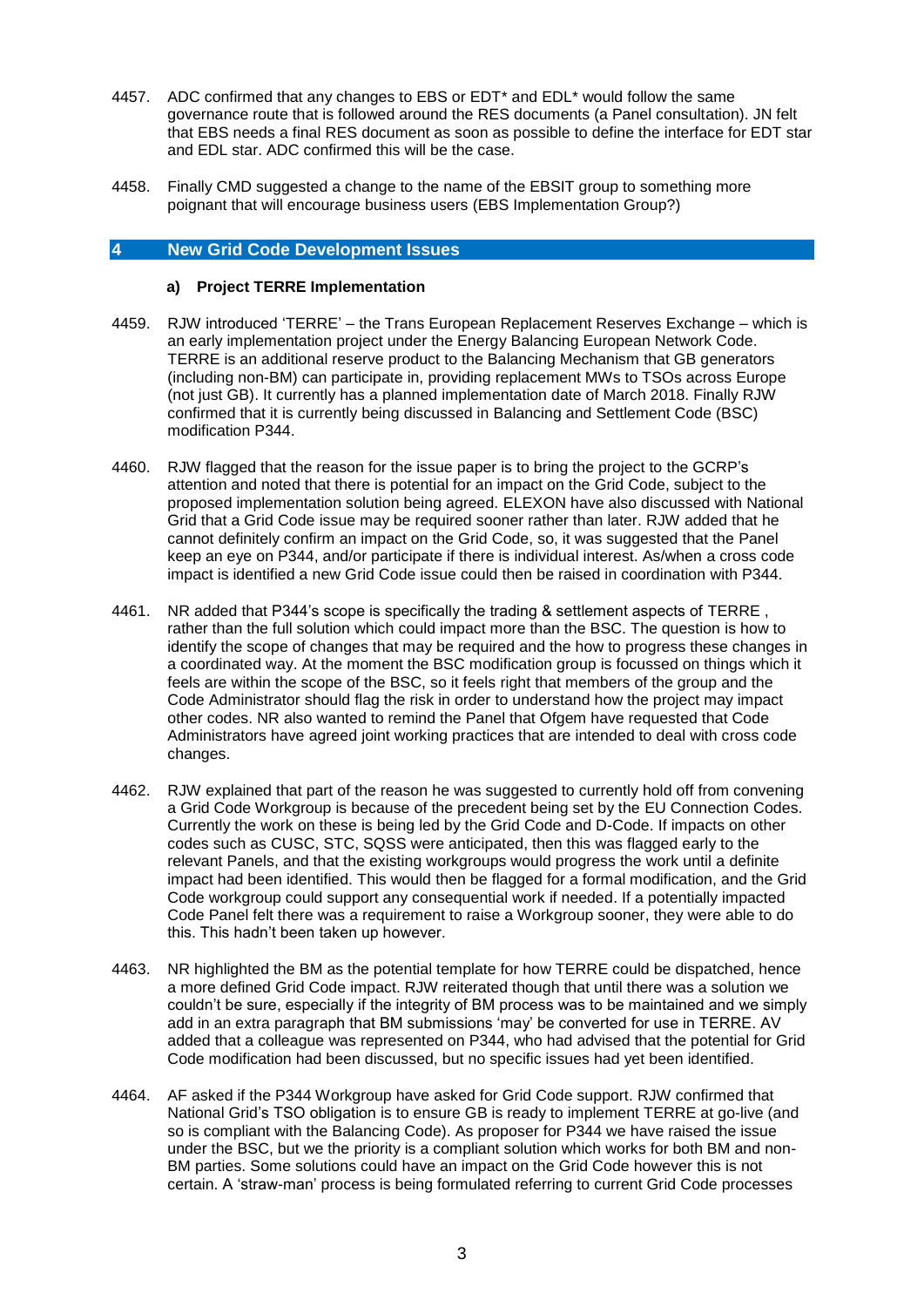- 4457. ADC confirmed that any changes to EBS or EDT\* and EDL\* would follow the same governance route that is followed around the RES documents (a Panel consultation). JN felt that EBS needs a final RES document as soon as possible to define the interface for EDT star and EDL star. ADC confirmed this will be the case.
- 4458. Finally CMD suggested a change to the name of the EBSIT group to something more poignant that will encourage business users (EBS Implementation Group?)

# **4 New Grid Code Development Issues**

## **a) Project TERRE Implementation**

- 4459. RJW introduced 'TERRE' the Trans European Replacement Reserves Exchange which is an early implementation project under the Energy Balancing European Network Code. TERRE is an additional reserve product to the Balancing Mechanism that GB generators (including non-BM) can participate in, providing replacement MWs to TSOs across Europe (not just GB). It currently has a planned implementation date of March 2018. Finally RJW confirmed that it is currently being discussed in Balancing and Settlement Code (BSC) modification P344.
- 4460. RJW flagged that the reason for the issue paper is to bring the project to the GCRP's attention and noted that there is potential for an impact on the Grid Code, subject to the proposed implementation solution being agreed. ELEXON have also discussed with National Grid that a Grid Code issue may be required sooner rather than later. RJW added that he cannot definitely confirm an impact on the Grid Code, so, it was suggested that the Panel keep an eye on P344, and/or participate if there is individual interest. As/when a cross code impact is identified a new Grid Code issue could then be raised in coordination with P344.
- 4461. NR added that P344's scope is specifically the trading & settlement aspects of TERRE , rather than the full solution which could impact more than the BSC. The question is how to identify the scope of changes that may be required and the how to progress these changes in a coordinated way. At the moment the BSC modification group is focussed on things which it feels are within the scope of the BSC, so it feels right that members of the group and the Code Administrator should flag the risk in order to understand how the project may impact other codes. NR also wanted to remind the Panel that Ofgem have requested that Code Administrators have agreed joint working practices that are intended to deal with cross code changes.
- 4462. RJW explained that part of the reason he was suggested to currently hold off from convening a Grid Code Workgroup is because of the precedent being set by the EU Connection Codes. Currently the work on these is being led by the Grid Code and D-Code. If impacts on other codes such as CUSC, STC, SQSS were anticipated, then this was flagged early to the relevant Panels, and that the existing workgroups would progress the work until a definite impact had been identified. This would then be flagged for a formal modification, and the Grid Code workgroup could support any consequential work if needed. If a potentially impacted Code Panel felt there was a requirement to raise a Workgroup sooner, they were able to do this. This hadn't been taken up however.
- 4463. NR highlighted the BM as the potential template for how TERRE could be dispatched, hence a more defined Grid Code impact. RJW reiterated though that until there was a solution we couldn't be sure, especially if the integrity of BM process was to be maintained and we simply add in an extra paragraph that BM submissions 'may' be converted for use in TERRE. AV added that a colleague was represented on P344, who had advised that the potential for Grid Code modification had been discussed, but no specific issues had yet been identified.
- 4464. AF asked if the P344 Workgroup have asked for Grid Code support. RJW confirmed that National Grid's TSO obligation is to ensure GB is ready to implement TERRE at go-live (and so is compliant with the Balancing Code). As proposer for P344 we have raised the issue under the BSC, but we the priority is a compliant solution which works for both BM and non-BM parties. Some solutions could have an impact on the Grid Code however this is not certain. A 'straw-man' process is being formulated referring to current Grid Code processes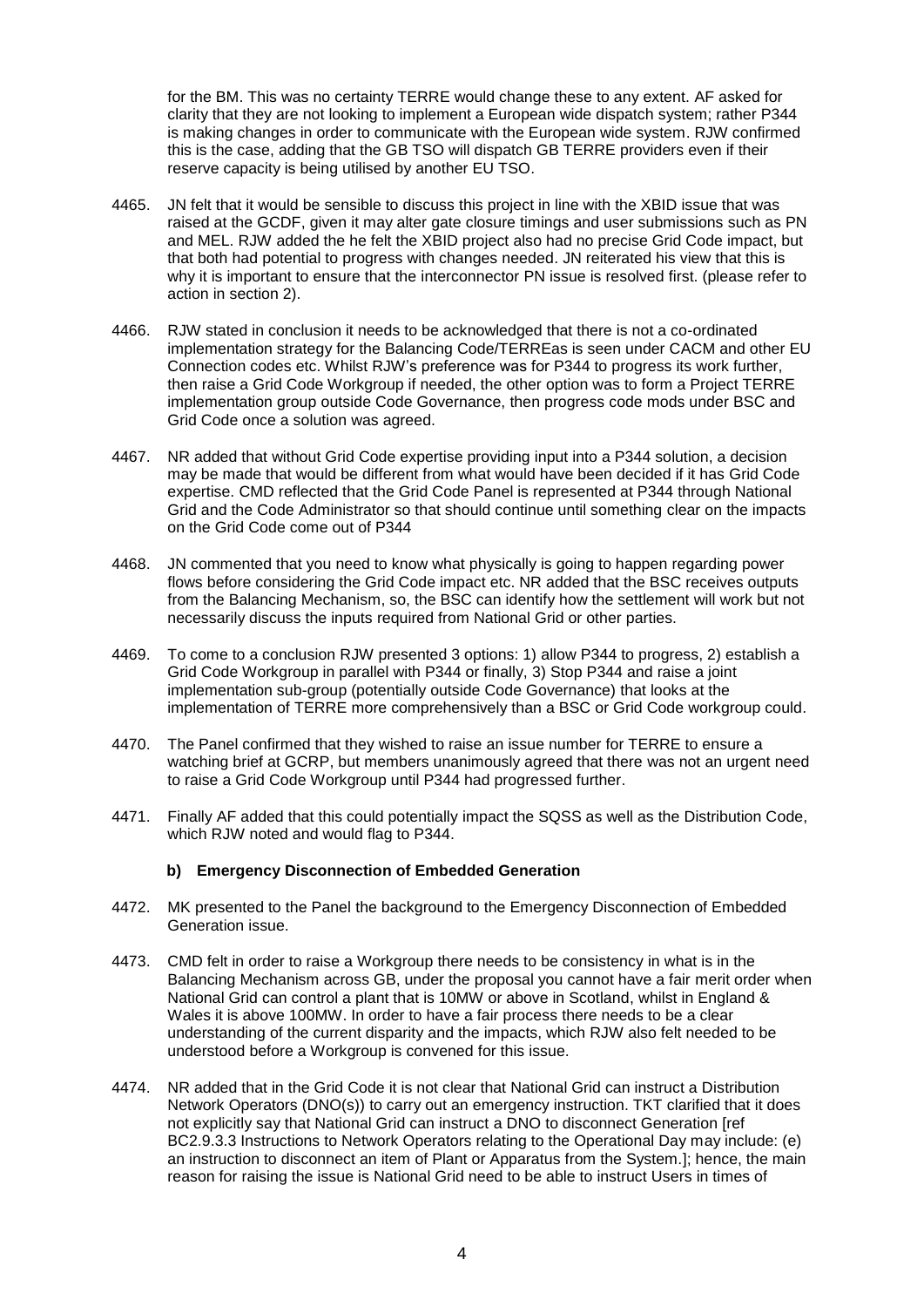for the BM. This was no certainty TERRE would change these to any extent. AF asked for clarity that they are not looking to implement a European wide dispatch system; rather P344 is making changes in order to communicate with the European wide system. RJW confirmed this is the case, adding that the GB TSO will dispatch GB TERRE providers even if their reserve capacity is being utilised by another EU TSO.

- 4465. JN felt that it would be sensible to discuss this project in line with the XBID issue that was raised at the GCDF, given it may alter gate closure timings and user submissions such as PN and MEL. RJW added the he felt the XBID project also had no precise Grid Code impact, but that both had potential to progress with changes needed. JN reiterated his view that this is why it is important to ensure that the interconnector PN issue is resolved first. (please refer to action in section 2).
- 4466. RJW stated in conclusion it needs to be acknowledged that there is not a co-ordinated implementation strategy for the Balancing Code/TERREas is seen under CACM and other EU Connection codes etc. Whilst RJW's preference was for P344 to progress its work further, then raise a Grid Code Workgroup if needed, the other option was to form a Project TERRE implementation group outside Code Governance, then progress code mods under BSC and Grid Code once a solution was agreed.
- 4467. NR added that without Grid Code expertise providing input into a P344 solution, a decision may be made that would be different from what would have been decided if it has Grid Code expertise. CMD reflected that the Grid Code Panel is represented at P344 through National Grid and the Code Administrator so that should continue until something clear on the impacts on the Grid Code come out of P344
- 4468. JN commented that you need to know what physically is going to happen regarding power flows before considering the Grid Code impact etc. NR added that the BSC receives outputs from the Balancing Mechanism, so, the BSC can identify how the settlement will work but not necessarily discuss the inputs required from National Grid or other parties.
- 4469. To come to a conclusion RJW presented 3 options: 1) allow P344 to progress, 2) establish a Grid Code Workgroup in parallel with P344 or finally, 3) Stop P344 and raise a joint implementation sub-group (potentially outside Code Governance) that looks at the implementation of TERRE more comprehensively than a BSC or Grid Code workgroup could.
- 4470. The Panel confirmed that they wished to raise an issue number for TERRE to ensure a watching brief at GCRP, but members unanimously agreed that there was not an urgent need to raise a Grid Code Workgroup until P344 had progressed further.
- 4471. Finally AF added that this could potentially impact the SQSS as well as the Distribution Code, which RJW noted and would flag to P344.

## **b) Emergency Disconnection of Embedded Generation**

- 4472. MK presented to the Panel the background to the Emergency Disconnection of Embedded Generation issue.
- 4473. CMD felt in order to raise a Workgroup there needs to be consistency in what is in the Balancing Mechanism across GB, under the proposal you cannot have a fair merit order when National Grid can control a plant that is 10MW or above in Scotland, whilst in England & Wales it is above 100MW. In order to have a fair process there needs to be a clear understanding of the current disparity and the impacts, which RJW also felt needed to be understood before a Workgroup is convened for this issue.
- 4474. NR added that in the Grid Code it is not clear that National Grid can instruct a Distribution Network Operators (DNO(s)) to carry out an emergency instruction. TKT clarified that it does not explicitly say that National Grid can instruct a DNO to disconnect Generation [ref BC2.9.3.3 Instructions to Network Operators relating to the Operational Day may include: (e) an instruction to disconnect an item of Plant or Apparatus from the System.]; hence, the main reason for raising the issue is National Grid need to be able to instruct Users in times of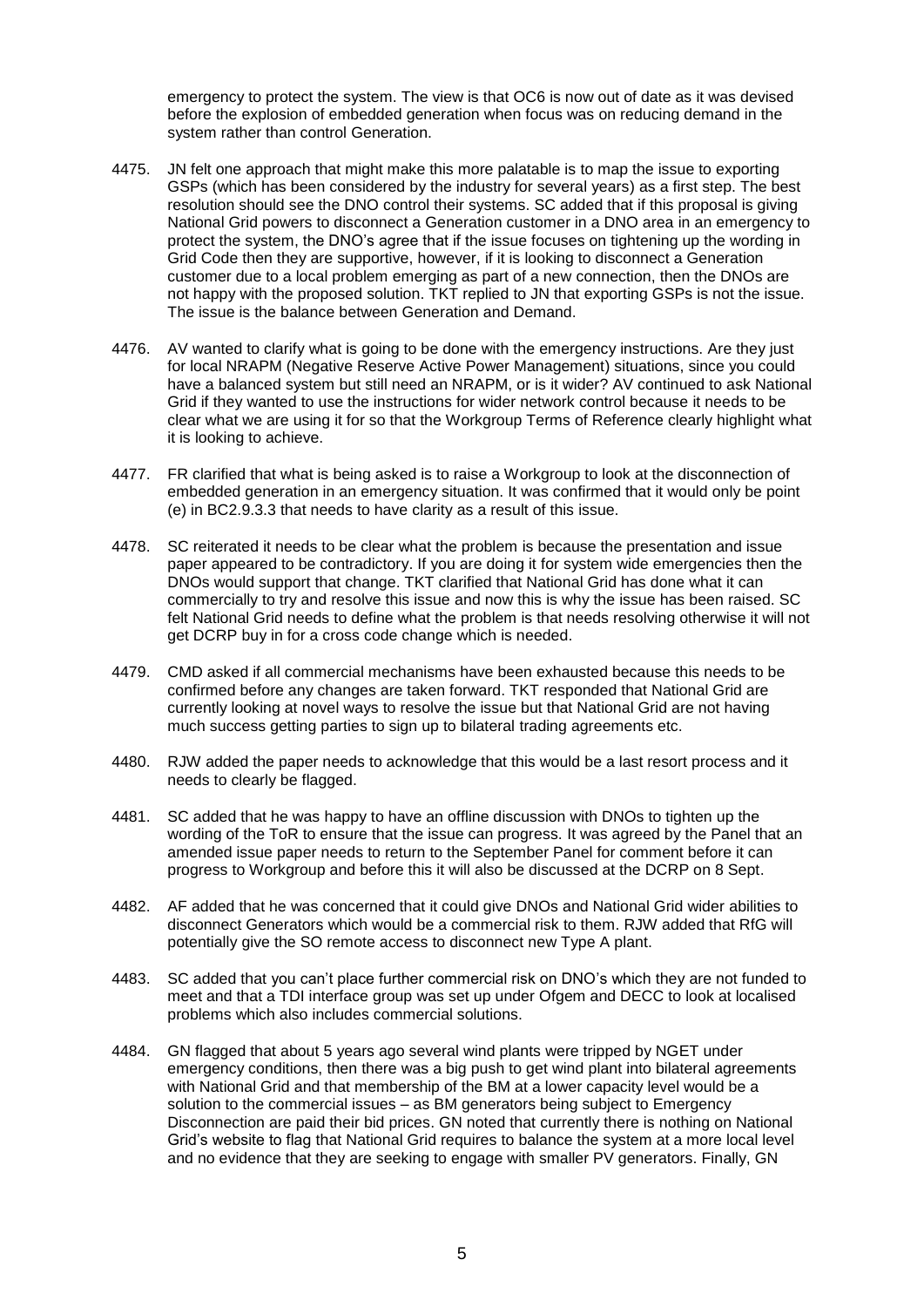emergency to protect the system. The view is that OC6 is now out of date as it was devised before the explosion of embedded generation when focus was on reducing demand in the system rather than control Generation.

- 4475. JN felt one approach that might make this more palatable is to map the issue to exporting GSPs (which has been considered by the industry for several years) as a first step. The best resolution should see the DNO control their systems. SC added that if this proposal is giving National Grid powers to disconnect a Generation customer in a DNO area in an emergency to protect the system, the DNO's agree that if the issue focuses on tightening up the wording in Grid Code then they are supportive, however, if it is looking to disconnect a Generation customer due to a local problem emerging as part of a new connection, then the DNOs are not happy with the proposed solution. TKT replied to JN that exporting GSPs is not the issue. The issue is the balance between Generation and Demand.
- 4476. AV wanted to clarify what is going to be done with the emergency instructions. Are they just for local NRAPM (Negative Reserve Active Power Management) situations, since you could have a balanced system but still need an NRAPM, or is it wider? AV continued to ask National Grid if they wanted to use the instructions for wider network control because it needs to be clear what we are using it for so that the Workgroup Terms of Reference clearly highlight what it is looking to achieve.
- 4477. FR clarified that what is being asked is to raise a Workgroup to look at the disconnection of embedded generation in an emergency situation. It was confirmed that it would only be point (e) in BC2.9.3.3 that needs to have clarity as a result of this issue.
- 4478. SC reiterated it needs to be clear what the problem is because the presentation and issue paper appeared to be contradictory. If you are doing it for system wide emergencies then the DNOs would support that change. TKT clarified that National Grid has done what it can commercially to try and resolve this issue and now this is why the issue has been raised. SC felt National Grid needs to define what the problem is that needs resolving otherwise it will not get DCRP buy in for a cross code change which is needed.
- 4479. CMD asked if all commercial mechanisms have been exhausted because this needs to be confirmed before any changes are taken forward. TKT responded that National Grid are currently looking at novel ways to resolve the issue but that National Grid are not having much success getting parties to sign up to bilateral trading agreements etc.
- 4480. RJW added the paper needs to acknowledge that this would be a last resort process and it needs to clearly be flagged.
- 4481. SC added that he was happy to have an offline discussion with DNOs to tighten up the wording of the ToR to ensure that the issue can progress. It was agreed by the Panel that an amended issue paper needs to return to the September Panel for comment before it can progress to Workgroup and before this it will also be discussed at the DCRP on 8 Sept.
- 4482. AF added that he was concerned that it could give DNOs and National Grid wider abilities to disconnect Generators which would be a commercial risk to them. RJW added that RfG will potentially give the SO remote access to disconnect new Type A plant.
- 4483. SC added that you can't place further commercial risk on DNO's which they are not funded to meet and that a TDI interface group was set up under Ofgem and DECC to look at localised problems which also includes commercial solutions.
- 4484. GN flagged that about 5 years ago several wind plants were tripped by NGET under emergency conditions, then there was a big push to get wind plant into bilateral agreements with National Grid and that membership of the BM at a lower capacity level would be a solution to the commercial issues – as BM generators being subject to Emergency Disconnection are paid their bid prices. GN noted that currently there is nothing on National Grid's website to flag that National Grid requires to balance the system at a more local level and no evidence that they are seeking to engage with smaller PV generators. Finally, GN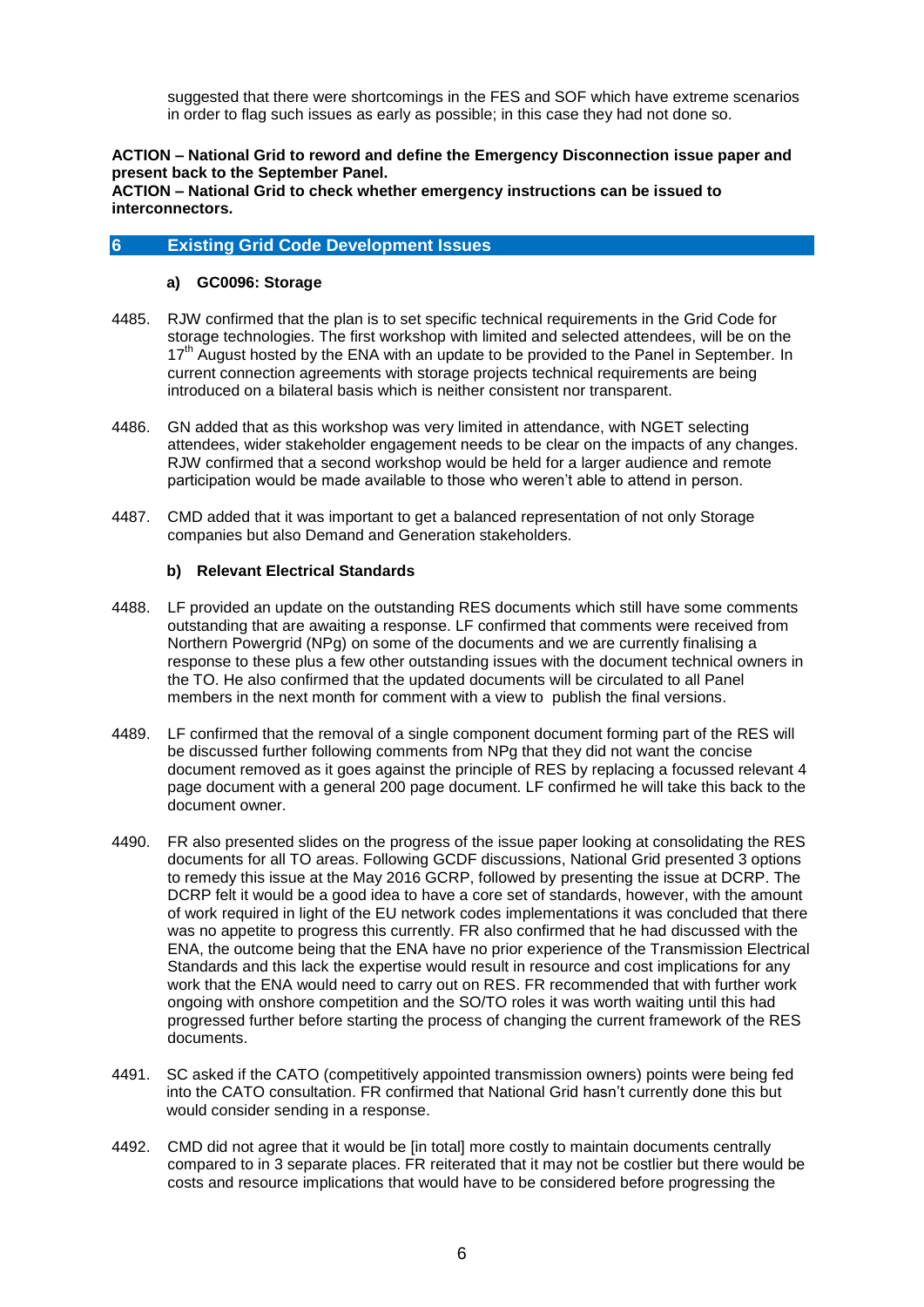suggested that there were shortcomings in the FES and SOF which have extreme scenarios in order to flag such issues as early as possible; in this case they had not done so.

# **ACTION – National Grid to reword and define the Emergency Disconnection issue paper and present back to the September Panel.**

**ACTION – National Grid to check whether emergency instructions can be issued to interconnectors.**

# **6 Existing Grid Code Development Issues**

## **a) GC0096: Storage**

- 4485. RJW confirmed that the plan is to set specific technical requirements in the Grid Code for storage technologies. The first workshop with limited and selected attendees, will be on the 17<sup>th</sup> August hosted by the ENA with an update to be provided to the Panel in September. In current connection agreements with storage projects technical requirements are being introduced on a bilateral basis which is neither consistent nor transparent.
- 4486. GN added that as this workshop was very limited in attendance, with NGET selecting attendees, wider stakeholder engagement needs to be clear on the impacts of any changes. RJW confirmed that a second workshop would be held for a larger audience and remote participation would be made available to those who weren't able to attend in person.
- 4487. CMD added that it was important to get a balanced representation of not only Storage companies but also Demand and Generation stakeholders.

## **b) Relevant Electrical Standards**

- 4488. LF provided an update on the outstanding RES documents which still have some comments outstanding that are awaiting a response. LF confirmed that comments were received from Northern Powergrid (NPg) on some of the documents and we are currently finalising a response to these plus a few other outstanding issues with the document technical owners in the TO. He also confirmed that the updated documents will be circulated to all Panel members in the next month for comment with a view to publish the final versions.
- 4489. LF confirmed that the removal of a single component document forming part of the RES will be discussed further following comments from NPg that they did not want the concise document removed as it goes against the principle of RES by replacing a focussed relevant 4 page document with a general 200 page document. LF confirmed he will take this back to the document owner.
- 4490. FR also presented slides on the progress of the issue paper looking at consolidating the RES documents for all TO areas. Following GCDF discussions, National Grid presented 3 options to remedy this issue at the May 2016 GCRP, followed by presenting the issue at DCRP. The DCRP felt it would be a good idea to have a core set of standards, however, with the amount of work required in light of the EU network codes implementations it was concluded that there was no appetite to progress this currently. FR also confirmed that he had discussed with the ENA, the outcome being that the ENA have no prior experience of the Transmission Electrical Standards and this lack the expertise would result in resource and cost implications for any work that the ENA would need to carry out on RES. FR recommended that with further work ongoing with onshore competition and the SO/TO roles it was worth waiting until this had progressed further before starting the process of changing the current framework of the RES documents.
- 4491. SC asked if the CATO (competitively appointed transmission owners) points were being fed into the CATO consultation. FR confirmed that National Grid hasn't currently done this but would consider sending in a response.
- 4492. CMD did not agree that it would be [in total] more costly to maintain documents centrally compared to in 3 separate places. FR reiterated that it may not be costlier but there would be costs and resource implications that would have to be considered before progressing the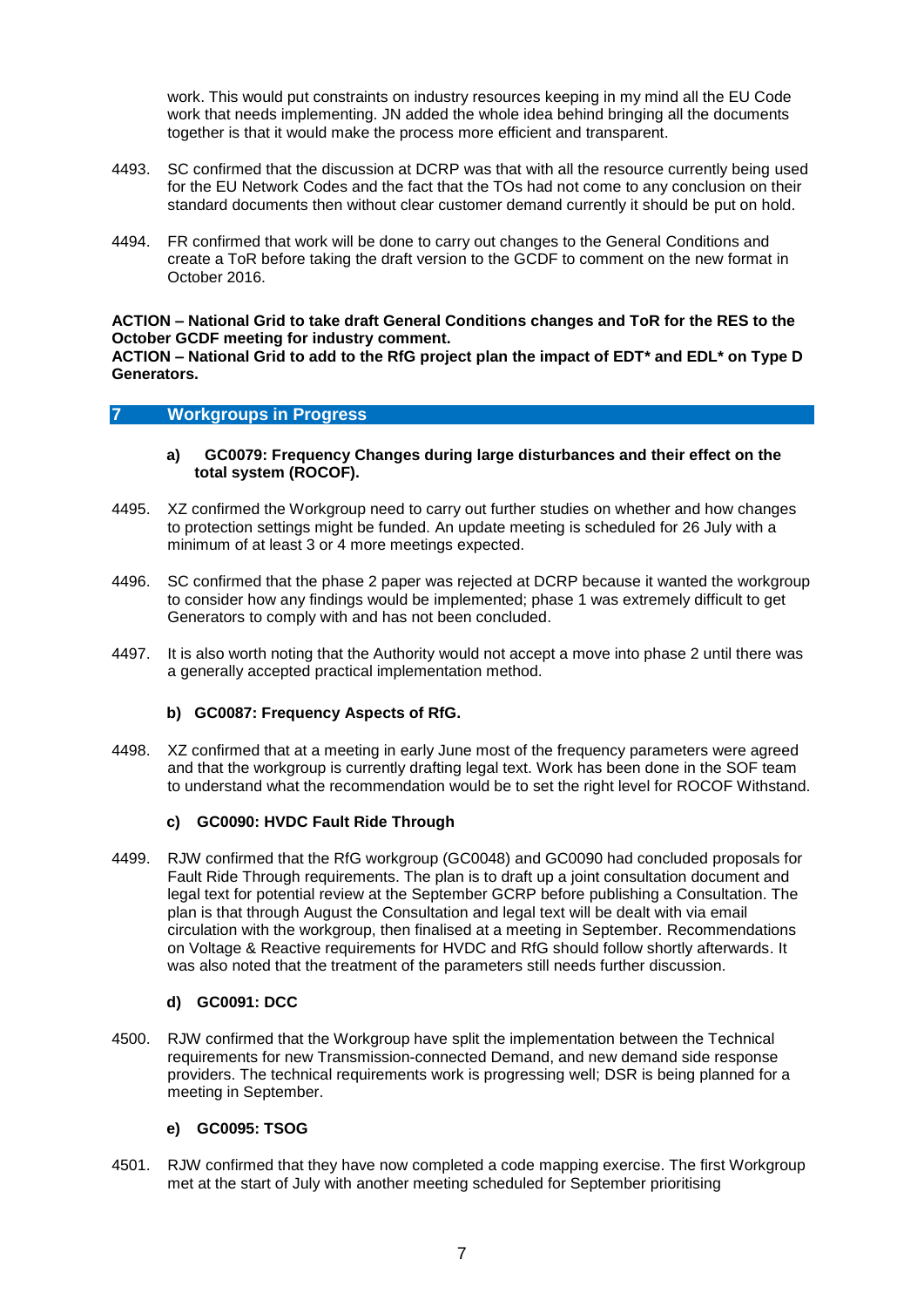work. This would put constraints on industry resources keeping in my mind all the EU Code work that needs implementing. JN added the whole idea behind bringing all the documents together is that it would make the process more efficient and transparent.

- 4493. SC confirmed that the discussion at DCRP was that with all the resource currently being used for the EU Network Codes and the fact that the TOs had not come to any conclusion on their standard documents then without clear customer demand currently it should be put on hold.
- 4494. FR confirmed that work will be done to carry out changes to the General Conditions and create a ToR before taking the draft version to the GCDF to comment on the new format in October 2016.

# **ACTION – National Grid to take draft General Conditions changes and ToR for the RES to the October GCDF meeting for industry comment.**

**ACTION – National Grid to add to the RfG project plan the impact of EDT\* and EDL\* on Type D Generators.** 

# **7 Workgroups in Progress**

- **a) GC0079: Frequency Changes during large disturbances and their effect on the total system (ROCOF).**
- 4495. XZ confirmed the Workgroup need to carry out further studies on whether and how changes to protection settings might be funded. An update meeting is scheduled for 26 July with a minimum of at least 3 or 4 more meetings expected.
- 4496. SC confirmed that the phase 2 paper was rejected at DCRP because it wanted the workgroup to consider how any findings would be implemented; phase 1 was extremely difficult to get Generators to comply with and has not been concluded.
- 4497. It is also worth noting that the Authority would not accept a move into phase 2 until there was a generally accepted practical implementation method.

## **b) GC0087: Frequency Aspects of RfG.**

4498. XZ confirmed that at a meeting in early June most of the frequency parameters were agreed and that the workgroup is currently drafting legal text. Work has been done in the SOF team to understand what the recommendation would be to set the right level for ROCOF Withstand.

## **c) GC0090: HVDC Fault Ride Through**

4499. RJW confirmed that the RfG workgroup (GC0048) and GC0090 had concluded proposals for Fault Ride Through requirements. The plan is to draft up a joint consultation document and legal text for potential review at the September GCRP before publishing a Consultation. The plan is that through August the Consultation and legal text will be dealt with via email circulation with the workgroup, then finalised at a meeting in September. Recommendations on Voltage & Reactive requirements for HVDC and RfG should follow shortly afterwards. It was also noted that the treatment of the parameters still needs further discussion.

## **d) GC0091: DCC**

4500. RJW confirmed that the Workgroup have split the implementation between the Technical requirements for new Transmission-connected Demand, and new demand side response providers. The technical requirements work is progressing well; DSR is being planned for a meeting in September.

# **e) GC0095: TSOG**

4501. RJW confirmed that they have now completed a code mapping exercise. The first Workgroup met at the start of July with another meeting scheduled for September prioritising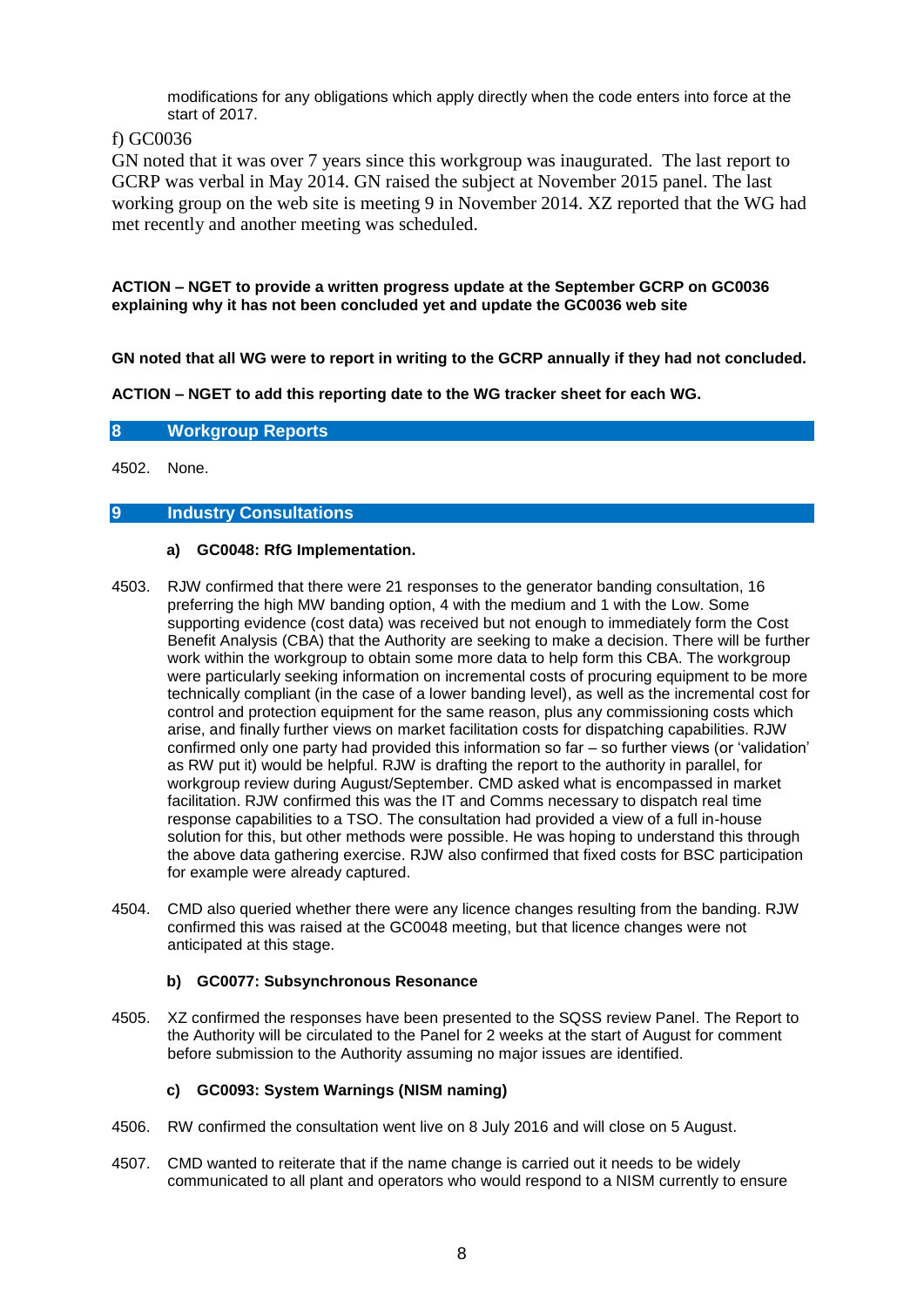modifications for any obligations which apply directly when the code enters into force at the start of 2017.

# f) GC0036

GN noted that it was over 7 years since this workgroup was inaugurated. The last report to GCRP was verbal in May 2014. GN raised the subject at November 2015 panel. The last working group on the web site is meeting 9 in November 2014. XZ reported that the WG had met recently and another meeting was scheduled.

**ACTION – NGET to provide a written progress update at the September GCRP on GC0036 explaining why it has not been concluded yet and update the GC0036 web site**

**GN noted that all WG were to report in writing to the GCRP annually if they had not concluded.**

**ACTION – NGET to add this reporting date to the WG tracker sheet for each WG.**

**8 Workgroup Reports**

4502. None.

# **9 Industry Consultations**

# **a) GC0048: RfG Implementation.**

- 4503. RJW confirmed that there were 21 responses to the generator banding consultation, 16 preferring the high MW banding option, 4 with the medium and 1 with the Low. Some supporting evidence (cost data) was received but not enough to immediately form the Cost Benefit Analysis (CBA) that the Authority are seeking to make a decision. There will be further work within the workgroup to obtain some more data to help form this CBA. The workgroup were particularly seeking information on incremental costs of procuring equipment to be more technically compliant (in the case of a lower banding level), as well as the incremental cost for control and protection equipment for the same reason, plus any commissioning costs which arise, and finally further views on market facilitation costs for dispatching capabilities. RJW confirmed only one party had provided this information so far – so further views (or 'validation' as RW put it) would be helpful. RJW is drafting the report to the authority in parallel, for workgroup review during August/September. CMD asked what is encompassed in market facilitation. RJW confirmed this was the IT and Comms necessary to dispatch real time response capabilities to a TSO. The consultation had provided a view of a full in-house solution for this, but other methods were possible. He was hoping to understand this through the above data gathering exercise. RJW also confirmed that fixed costs for BSC participation for example were already captured.
- 4504. CMD also queried whether there were any licence changes resulting from the banding. RJW confirmed this was raised at the GC0048 meeting, but that licence changes were not anticipated at this stage.

# **b) GC0077: Subsynchronous Resonance**

4505. XZ confirmed the responses have been presented to the SQSS review Panel. The Report to the Authority will be circulated to the Panel for 2 weeks at the start of August for comment before submission to the Authority assuming no major issues are identified.

# **c) GC0093: System Warnings (NISM naming)**

- 4506. RW confirmed the consultation went live on 8 July 2016 and will close on 5 August.
- 4507. CMD wanted to reiterate that if the name change is carried out it needs to be widely communicated to all plant and operators who would respond to a NISM currently to ensure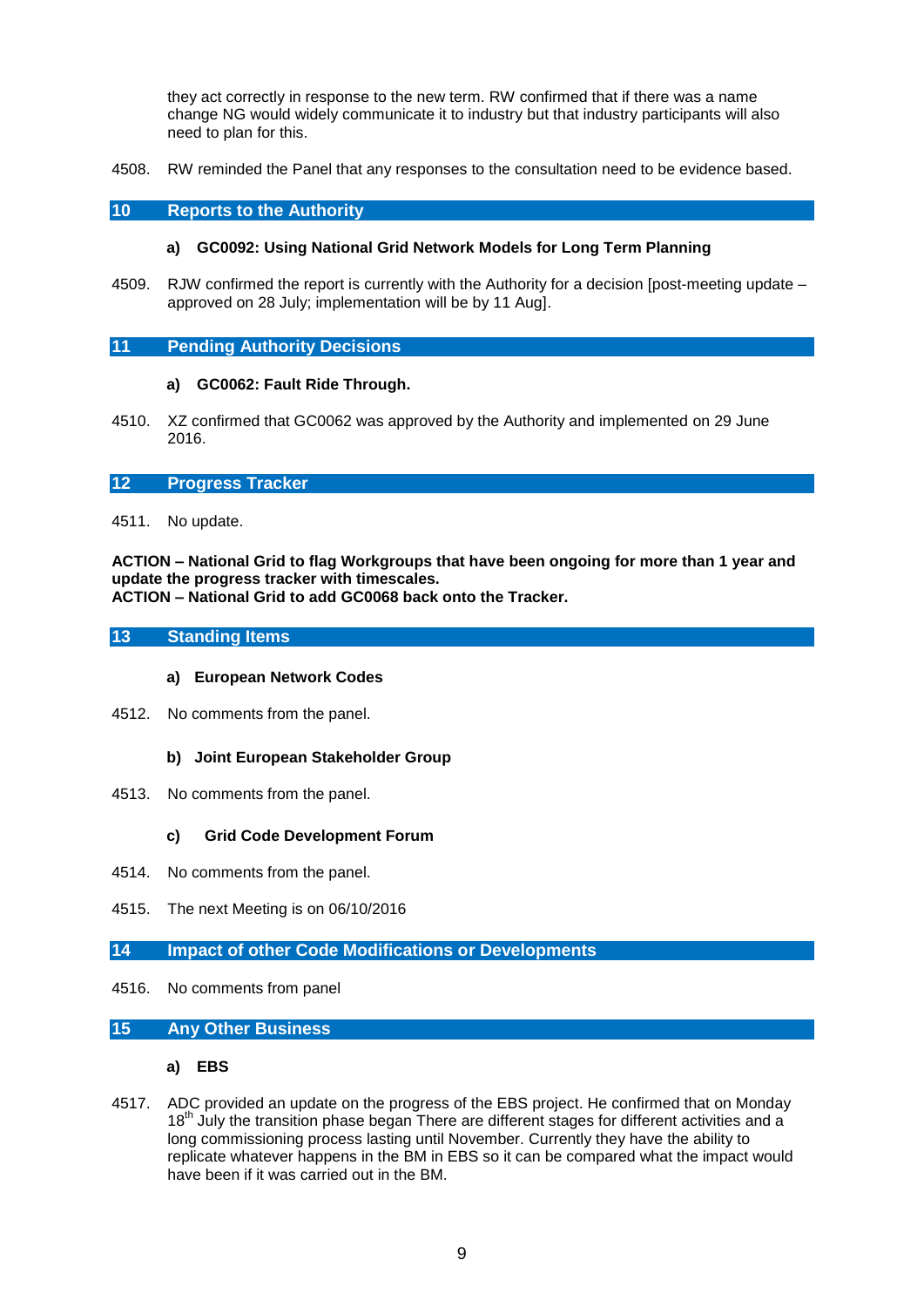they act correctly in response to the new term. RW confirmed that if there was a name change NG would widely communicate it to industry but that industry participants will also need to plan for this.

4508. RW reminded the Panel that any responses to the consultation need to be evidence based.

# **10 Reports to the Authority**

## **a) GC0092: Using National Grid Network Models for Long Term Planning**

4509. RJW confirmed the report is currently with the Authority for a decision [post-meeting update – approved on 28 July; implementation will be by 11 Aug].

## **11 Pending Authority Decisions**

# **a) GC0062: Fault Ride Through.**

4510. XZ confirmed that GC0062 was approved by the Authority and implemented on 29 June 2016.

## **12 Progress Tracker**

4511. No update.

**ACTION – National Grid to flag Workgroups that have been ongoing for more than 1 year and update the progress tracker with timescales.**

**ACTION – National Grid to add GC0068 back onto the Tracker.**

# **13 Standing Items**

## **a) European Network Codes**

- 4512. No comments from the panel.
	- **b) Joint European Stakeholder Group**
- 4513. No comments from the panel.

## **c) Grid Code Development Forum**

- 4514. No comments from the panel.
- 4515. The next Meeting is on 06/10/2016
- **14 Impact of other Code Modifications or Developments**
- 4516. No comments from panel

## **15 Any Other Business**

# **a) EBS**

4517. ADC provided an update on the progress of the EBS project. He confirmed that on Monday 18<sup>th</sup> July the transition phase began There are different stages for different activities and a long commissioning process lasting until November. Currently they have the ability to replicate whatever happens in the BM in EBS so it can be compared what the impact would have been if it was carried out in the BM.